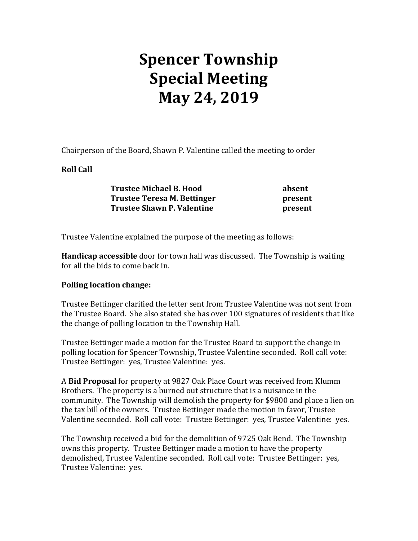## **Spencer Township Special Meeting May 24, 2019**

Chairperson of the Board, Shawn P. Valentine called the meeting to order

## **Roll Call**

| <b>Trustee Michael B. Hood</b>    | absent  |
|-----------------------------------|---------|
| Trustee Teresa M. Bettinger       | present |
| <b>Trustee Shawn P. Valentine</b> | present |

Trustee Valentine explained the purpose of the meeting as follows:

**Handicap accessible** door for town hall was discussed. The Township is waiting for all the bids to come back in.

## **Polling location change:**

Trustee Bettinger clarified the letter sent from Trustee Valentine was not sent from the Trustee Board. She also stated she has over 100 signatures of residents that like the change of polling location to the Township Hall.

Trustee Bettinger made a motion for the Trustee Board to support the change in polling location for Spencer Township, Trustee Valentine seconded. Roll call vote: Trustee Bettinger: yes, Trustee Valentine: yes.

A **Bid Proposal** for property at 9827 Oak Place Court was received from Klumm Brothers. The property is a burned out structure that is a nuisance in the community. The Township will demolish the property for \$9800 and place a lien on the tax bill of the owners. Trustee Bettinger made the motion in favor, Trustee Valentine seconded. Roll call vote: Trustee Bettinger: yes, Trustee Valentine: yes.

The Township received a bid for the demolition of 9725 Oak Bend. The Township owns this property. Trustee Bettinger made a motion to have the property demolished, Trustee Valentine seconded. Roll call vote: Trustee Bettinger: yes, Trustee Valentine: yes.